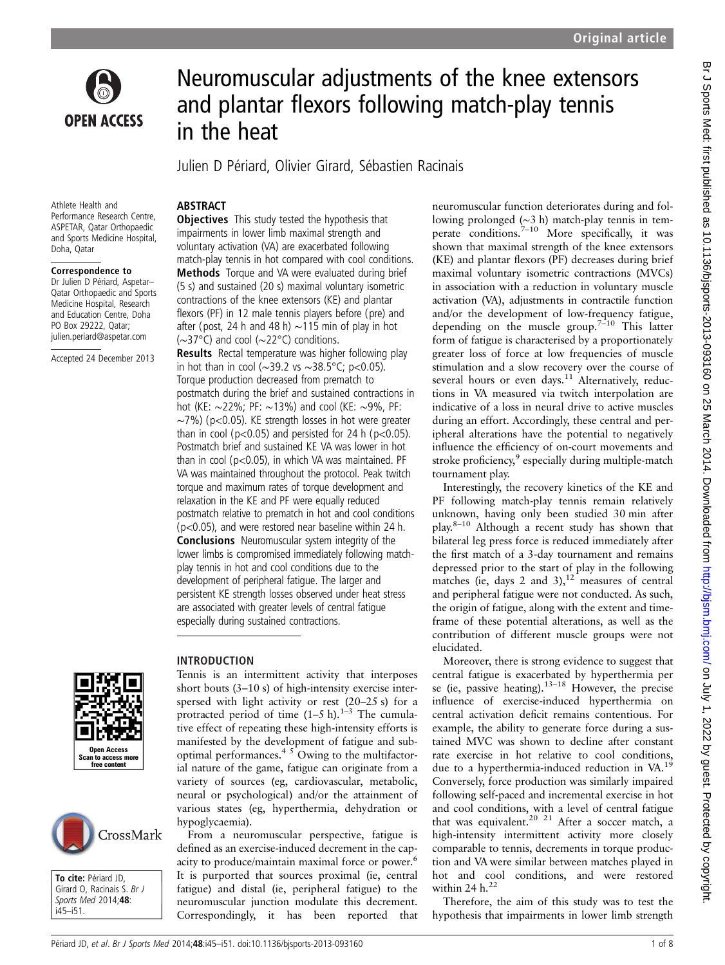

# Neuromuscular adjustments of the knee extensors and plantar flexors following match-play tennis in the heat

Julien D Périard, Olivier Girard, Sébastien Racinais

#### Athlete Health and Performance Research Centre, ASPETAR, Qatar Orthopaedic and Sports Medicine Hospital, Doha, Qatar

#### Correspondence to

Dr Julien D Périard, Aspetar– Qatar Orthopaedic and Sports Medicine Hospital, Research and Education Centre, Doha PO Box 29222, Qatar; julien.periard@aspetar.com

Accepted 24 December 2013





To cite: Périard JD, Girard O, Racinais S. Br J Sports Med 2014;48: i45–i51.

## ABSTRACT

**Objectives** This study tested the hypothesis that impairments in lower limb maximal strength and voluntary activation (VA) are exacerbated following match-play tennis in hot compared with cool conditions. Methods Torque and VA were evaluated during brief (5 s) and sustained (20 s) maximal voluntary isometric contractions of the knee extensors (KE) and plantar flexors (PF) in 12 male tennis players before (pre) and after (post, 24 h and 48 h) ∼115 min of play in hot (∼37°C) and cool (∼22°C) conditions.

Results Rectal temperature was higher following play in hot than in cool (∼39.2 vs ∼38.5°C; p<0.05). Torque production decreased from prematch to postmatch during the brief and sustained contractions in hot (KE: ∼22%; PF: ∼13%) and cool (KE: ∼9%, PF: ∼7%) (p<0.05). KE strength losses in hot were greater than in cool ( $p<0.05$ ) and persisted for 24 h ( $p<0.05$ ). Postmatch brief and sustained KE VA was lower in hot than in cool ( $p<0.05$ ), in which VA was maintained. PF VA was maintained throughout the protocol. Peak twitch torque and maximum rates of torque development and relaxation in the KE and PF were equally reduced postmatch relative to prematch in hot and cool conditions (p<0.05), and were restored near baseline within 24 h. Conclusions Neuromuscular system integrity of the lower limbs is compromised immediately following matchplay tennis in hot and cool conditions due to the development of peripheral fatigue. The larger and persistent KE strength losses observed under heat stress are associated with greater levels of central fatigue especially during sustained contractions.

## INTRODUCTION

Tennis is an intermittent activity that interposes short bouts (3–10 s) of high-intensity exercise interspersed with light activity or rest (20–25 s) for a protracted period of time  $(1-5 h).^{1-3}$  The cumulative effect of repeating these high-intensity efforts is manifested by the development of fatigue and suboptimal performances.<sup>4  $5$ </sup> Owing to the multifactorial nature of the game, fatigue can originate from a variety of sources (eg, cardiovascular, metabolic, neural or psychological) and/or the attainment of various states (eg, hyperthermia, dehydration or hypoglycaemia).

From a neuromuscular perspective, fatigue is defined as an exercise-induced decrement in the capacity to produce/maintain maximal force or power.<sup>6</sup> It is purported that sources proximal (ie, central fatigue) and distal (ie, peripheral fatigue) to the neuromuscular junction modulate this decrement. Correspondingly, it has been reported that neuromuscular function deteriorates during and following prolonged (∼3 h) match-play tennis in temperate conditions.<sup> $7-10$ </sup> More specifically, it was shown that maximal strength of the knee extensors (KE) and plantar flexors (PF) decreases during brief maximal voluntary isometric contractions (MVCs) in association with a reduction in voluntary muscle activation (VA), adjustments in contractile function and/or the development of low-frequency fatigue, depending on the muscle group.<sup> $7-10$ </sup> This latter form of fatigue is characterised by a proportionately greater loss of force at low frequencies of muscle stimulation and a slow recovery over the course of several hours or even days.<sup>11</sup> Alternatively, reductions in VA measured via twitch interpolation are indicative of a loss in neural drive to active muscles during an effort. Accordingly, these central and peripheral alterations have the potential to negatively influence the efficiency of on-court movements and stroke proficiency, $\frac{9}{2}$  especially during multiple-match tournament play.

Interestingly, the recovery kinetics of the KE and PF following match-play tennis remain relatively unknown, having only been studied 30 min after play.8–<sup>10</sup> Although a recent study has shown that bilateral leg press force is reduced immediately after the first match of a 3-day tournament and remains depressed prior to the start of play in the following matches (ie, days 2 and 3), $12$  measures of central and peripheral fatigue were not conducted. As such, the origin of fatigue, along with the extent and timeframe of these potential alterations, as well as the contribution of different muscle groups were not elucidated.

Moreover, there is strong evidence to suggest that central fatigue is exacerbated by hyperthermia per se (ie, passive heating).<sup>13–18</sup> However, the precise influence of exercise-induced hyperthermia on central activation deficit remains contentious. For example, the ability to generate force during a sustained MVC was shown to decline after constant rate exercise in hot relative to cool conditions, due to a hyperthermia-induced reduction in VA.19 Conversely, force production was similarly impaired following self-paced and incremental exercise in hot and cool conditions, with a level of central fatigue that was equivalent.<sup>20 21</sup> After a soccer match, a high-intensity intermittent activity more closely comparable to tennis, decrements in torque production and VA were similar between matches played in hot and cool conditions, and were restored within 24  $h<sup>22</sup>$ 

Therefore, the aim of this study was to test the hypothesis that impairments in lower limb strength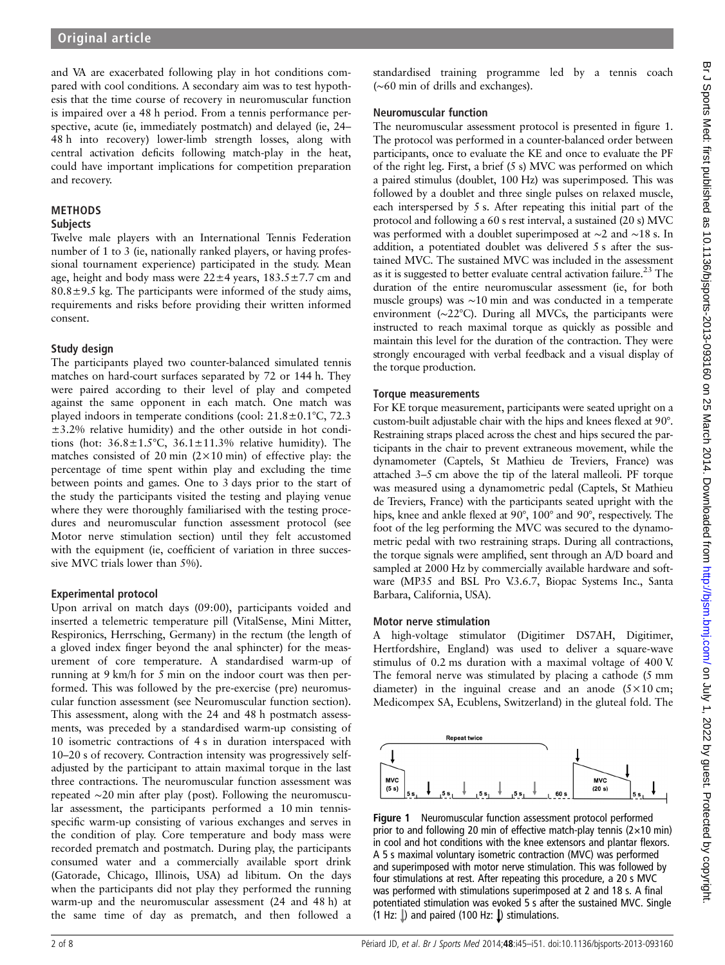and VA are exacerbated following play in hot conditions compared with cool conditions. A secondary aim was to test hypothesis that the time course of recovery in neuromuscular function is impaired over a 48 h period. From a tennis performance perspective, acute (ie, immediately postmatch) and delayed (ie, 24– 48 h into recovery) lower-limb strength losses, along with central activation deficits following match-play in the heat, could have important implications for competition preparation and recovery.

# METHODS

#### **Subjects**

Twelve male players with an International Tennis Federation number of 1 to 3 (ie, nationally ranked players, or having professional tournament experience) participated in the study. Mean age, height and body mass were  $22 \pm 4$  years,  $183.5 \pm 7.7$  cm and  $80.8 \pm 9.5$  kg. The participants were informed of the study aims, requirements and risks before providing their written informed consent.

## Study design

The participants played two counter-balanced simulated tennis matches on hard-court surfaces separated by 72 or 144 h. They were paired according to their level of play and competed against the same opponent in each match. One match was played indoors in temperate conditions (cool: 21.8±0.1°C, 72.3  $\pm$ 3.2% relative humidity) and the other outside in hot conditions (hot:  $36.8 \pm 1.5^{\circ}$ C,  $36.1 \pm 11.3$ % relative humidity). The matches consisted of 20 min  $(2 \times 10 \text{ min})$  of effective play: the percentage of time spent within play and excluding the time between points and games. One to 3 days prior to the start of the study the participants visited the testing and playing venue where they were thoroughly familiarised with the testing procedures and neuromuscular function assessment protocol (see Motor nerve stimulation section) until they felt accustomed with the equipment (ie, coefficient of variation in three successive MVC trials lower than 5%).

## Experimental protocol

Upon arrival on match days (09:00), participants voided and inserted a telemetric temperature pill (VitalSense, Mini Mitter, Respironics, Herrsching, Germany) in the rectum (the length of a gloved index finger beyond the anal sphincter) for the measurement of core temperature. A standardised warm-up of running at 9 km/h for 5 min on the indoor court was then performed. This was followed by the pre-exercise (pre) neuromuscular function assessment (see Neuromuscular function section). This assessment, along with the 24 and 48 h postmatch assessments, was preceded by a standardised warm-up consisting of 10 isometric contractions of 4 s in duration interspaced with 10–20 s of recovery. Contraction intensity was progressively selfadjusted by the participant to attain maximal torque in the last three contractions. The neuromuscular function assessment was repeated ∼20 min after play (post). Following the neuromuscular assessment, the participants performed a 10 min tennisspecific warm-up consisting of various exchanges and serves in the condition of play. Core temperature and body mass were recorded prematch and postmatch. During play, the participants consumed water and a commercially available sport drink (Gatorade, Chicago, Illinois, USA) ad libitum. On the days when the participants did not play they performed the running warm-up and the neuromuscular assessment (24 and 48 h) at the same time of day as prematch, and then followed a

standardised training programme led by a tennis coach (∼60 min of drills and exchanges).

## Neuromuscular function

The neuromuscular assessment protocol is presented in figure 1. The protocol was performed in a counter-balanced order between participants, once to evaluate the KE and once to evaluate the PF of the right leg. First, a brief (5 s) MVC was performed on which a paired stimulus (doublet, 100 Hz) was superimposed. This was followed by a doublet and three single pulses on relaxed muscle, each interspersed by 5 s. After repeating this initial part of the protocol and following a 60 s rest interval, a sustained (20 s) MVC was performed with a doublet superimposed at ∼2 and ∼18 s. In addition, a potentiated doublet was delivered 5 s after the sustained MVC. The sustained MVC was included in the assessment as it is suggested to better evaluate central activation failure.<sup>23</sup> The duration of the entire neuromuscular assessment (ie, for both muscle groups) was ∼10 min and was conducted in a temperate environment (∼22°C). During all MVCs, the participants were instructed to reach maximal torque as quickly as possible and maintain this level for the duration of the contraction. They were strongly encouraged with verbal feedback and a visual display of the torque production.

## Torque measurements

For KE torque measurement, participants were seated upright on a custom-built adjustable chair with the hips and knees flexed at 90°. Restraining straps placed across the chest and hips secured the participants in the chair to prevent extraneous movement, while the dynamometer (Captels, St Mathieu de Treviers, France) was attached 3–5 cm above the tip of the lateral malleoli. PF torque was measured using a dynamometric pedal (Captels, St Mathieu de Treviers, France) with the participants seated upright with the hips, knee and ankle flexed at 90°, 100° and 90°, respectively. The foot of the leg performing the MVC was secured to the dynamometric pedal with two restraining straps. During all contractions, the torque signals were amplified, sent through an A/D board and sampled at 2000 Hz by commercially available hardware and software (MP35 and BSL Pro V.3.6.7, Biopac Systems Inc., Santa Barbara, California, USA).

## Motor nerve stimulation

A high-voltage stimulator (Digitimer DS7AH, Digitimer, Hertfordshire, England) was used to deliver a square-wave stimulus of 0.2 ms duration with a maximal voltage of 400 V. The femoral nerve was stimulated by placing a cathode (5 mm diameter) in the inguinal crease and an anode  $(5 \times 10 \text{ cm};$ Medicompex SA, Ecublens, Switzerland) in the gluteal fold. The



Figure 1 Neuromuscular function assessment protocol performed prior to and following 20 min of effective match-play tennis ( $2\times10$  min) in cool and hot conditions with the knee extensors and plantar flexors. A 5 s maximal voluntary isometric contraction (MVC) was performed and superimposed with motor nerve stimulation. This was followed by four stimulations at rest. After repeating this procedure, a 20 s MVC was performed with stimulations superimposed at 2 and 18 s. A final potentiated stimulation was evoked 5 s after the sustained MVC. Single (1 Hz:  $\downarrow$ ) and paired (100 Hz:  $\downarrow$ ) stimulations.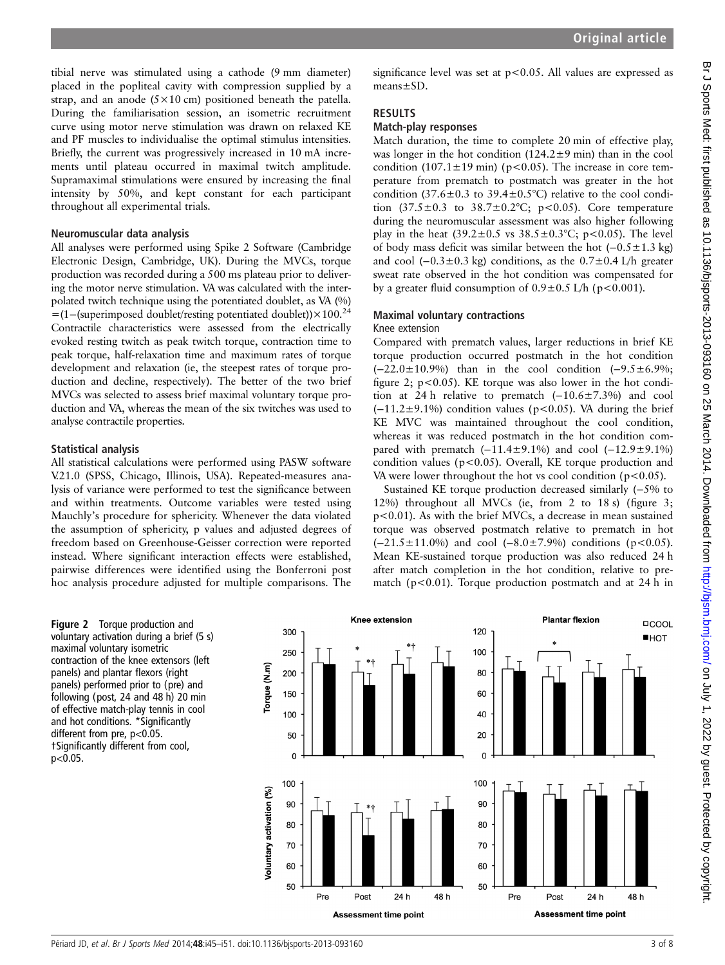tibial nerve was stimulated using a cathode (9 mm diameter) placed in the popliteal cavity with compression supplied by a strap, and an anode  $(5 \times 10 \text{ cm})$  positioned beneath the patella. During the familiarisation session, an isometric recruitment curve using motor nerve stimulation was drawn on relaxed KE and PF muscles to individualise the optimal stimulus intensities. Briefly, the current was progressively increased in 10 mA increments until plateau occurred in maximal twitch amplitude. Supramaximal stimulations were ensured by increasing the final intensity by 50%, and kept constant for each participant throughout all experimental trials.

#### Neuromuscular data analysis

All analyses were performed using Spike 2 Software (Cambridge Electronic Design, Cambridge, UK). During the MVCs, torque production was recorded during a 500 ms plateau prior to delivering the motor nerve stimulation. VA was calculated with the interpolated twitch technique using the potentiated doublet, as VA (%) =(1−(superimposed doublet/resting potentiated doublet))×100.24 Contractile characteristics were assessed from the electrically evoked resting twitch as peak twitch torque, contraction time to peak torque, half-relaxation time and maximum rates of torque development and relaxation (ie, the steepest rates of torque production and decline, respectively). The better of the two brief MVCs was selected to assess brief maximal voluntary torque production and VA, whereas the mean of the six twitches was used to analyse contractile properties.

#### Statistical analysis

All statistical calculations were performed using PASW software V.21.0 (SPSS, Chicago, Illinois, USA). Repeated-measures analysis of variance were performed to test the significance between and within treatments. Outcome variables were tested using Mauchly's procedure for sphericity. Whenever the data violated the assumption of sphericity, p values and adjusted degrees of freedom based on Greenhouse-Geisser correction were reported instead. Where significant interaction effects were established, pairwise differences were identified using the Bonferroni post hoc analysis procedure adjusted for multiple comparisons. The

significance level was set at  $p < 0.05$ . All values are expressed as means±SD.

## **RESULTS**

#### Match-play responses

Match duration, the time to complete 20 min of effective play, was longer in the hot condition  $(124.2\pm9 \text{ min})$  than in the cool condition (107.1 $\pm$ 19 min) (p<0.05). The increase in core temperature from prematch to postmatch was greater in the hot condition (37.6 $\pm$ 0.3 to 39.4 $\pm$ 0.5°C) relative to the cool condition  $(37.5 \pm 0.3 \text{ to } 38.7 \pm 0.2 \degree \text{C}$ ; p<0.05). Core temperature during the neuromuscular assessment was also higher following play in the heat  $(39.2 \pm 0.5 \text{ vs } 38.5 \pm 0.3 \degree \text{C}; \text{ p} < 0.05)$ . The level of body mass deficit was similar between the hot (−0.5±1.3 kg) and cool  $(-0.3 \pm 0.3 \text{ kg})$  conditions, as the  $0.7 \pm 0.4 \text{ L/h}$  greater sweat rate observed in the hot condition was compensated for by a greater fluid consumption of  $0.9 \pm 0.5$  L/h (p<0.001).

### Maximal voluntary contractions

## Knee extension

Compared with prematch values, larger reductions in brief KE torque production occurred postmatch in the hot condition (−22.0±10.9%) than in the cool condition (−9.5±6.9%; figure 2;  $p < 0.05$ ). KE torque was also lower in the hot condition at 24 h relative to prematch  $(-10.6\pm7.3\%)$  and cool  $(-11.2\pm9.1\%)$  condition values (p<0.05). VA during the brief KE MVC was maintained throughout the cool condition, whereas it was reduced postmatch in the hot condition compared with prematch  $(-11.4 \pm 9.1\%)$  and cool  $(-12.9 \pm 9.1\%)$ condition values ( $p<0.05$ ). Overall, KE torque production and VA were lower throughout the hot vs cool condition  $(p<0.05)$ .

Sustained KE torque production decreased similarly (−5% to 12%) throughout all MVCs (ie, from 2 to 18 s) (figure 3; p<0.01). As with the brief MVCs, a decrease in mean sustained torque was observed postmatch relative to prematch in hot  $(-21.5 \pm 11.0\%)$  and cool  $(-8.0 \pm 7.9\%)$  conditions (p<0.05). Mean KE-sustained torque production was also reduced 24 h after match completion in the hot condition, relative to prematch ( $p < 0.01$ ). Torque production postmatch and at 24 h in

Figure 2 Torque production and voluntary activation during a brief (5 s) maximal voluntary isometric contraction of the knee extensors (left panels) and plantar flexors (right panels) performed prior to (pre) and following (post, 24 and 48 h) 20 min of effective match-play tennis in cool and hot conditions. \*Significantly different from pre, p<0.05. †Significantly different from cool, p<0.05.

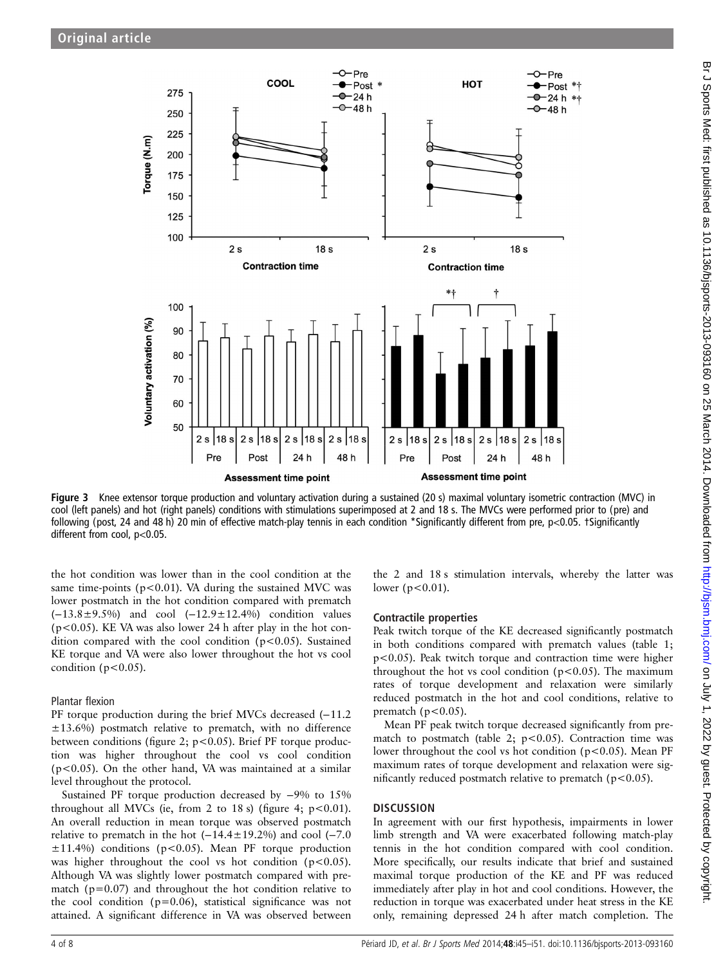

Figure 3 Knee extensor torque production and voluntary activation during a sustained (20 s) maximal voluntary isometric contraction (MVC) in cool (left panels) and hot (right panels) conditions with stimulations superimposed at 2 and 18 s. The MVCs were performed prior to (pre) and following (post, 24 and 48 h) 20 min of effective match-play tennis in each condition \*Significantly different from pre, p<0.05. †Significantly different from cool, p<0.05.

the hot condition was lower than in the cool condition at the same time-points ( $p$ <0.01). VA during the sustained MVC was lower postmatch in the hot condition compared with prematch (−13.8±9.5%) and cool (−12.9±12.4%) condition values (p<0.05). KE VA was also lower 24 h after play in the hot condition compared with the cool condition (p<0.05). Sustained KE torque and VA were also lower throughout the hot vs cool condition ( $p<0.05$ ).

#### Plantar flexion

PF torque production during the brief MVCs decreased (−11.2 ±13.6%) postmatch relative to prematch, with no difference between conditions (figure 2;  $p < 0.05$ ). Brief PF torque production was higher throughout the cool vs cool condition  $(p<0.05)$ . On the other hand, VA was maintained at a similar level throughout the protocol.

Sustained PF torque production decreased by −9% to 15% throughout all MVCs (ie, from 2 to 18 s) (figure 4;  $p < 0.01$ ). An overall reduction in mean torque was observed postmatch relative to prematch in the hot (−14.4±19.2%) and cool (−7.0  $\pm 11.4\%$ ) conditions (p<0.05). Mean PF torque production was higher throughout the cool vs hot condition ( $p < 0.05$ ). Although VA was slightly lower postmatch compared with prematch ( $p=0.07$ ) and throughout the hot condition relative to the cool condition (p=0.06), statistical significance was not attained. A significant difference in VA was observed between

the 2 and 18 s stimulation intervals, whereby the latter was lower ( $p < 0.01$ ).

## Contractile properties

Peak twitch torque of the KE decreased significantly postmatch in both conditions compared with prematch values (table 1; p<0.05). Peak twitch torque and contraction time were higher throughout the hot vs cool condition ( $p$ <0.05). The maximum rates of torque development and relaxation were similarly reduced postmatch in the hot and cool conditions, relative to prematch ( $p < 0.05$ ).

Mean PF peak twitch torque decreased significantly from prematch to postmatch (table 2;  $p < 0.05$ ). Contraction time was lower throughout the cool vs hot condition (p<0.05). Mean PF maximum rates of torque development and relaxation were significantly reduced postmatch relative to prematch ( $p$ <0.05).

## **DISCUSSION**

In agreement with our first hypothesis, impairments in lower limb strength and VA were exacerbated following match-play tennis in the hot condition compared with cool condition. More specifically, our results indicate that brief and sustained maximal torque production of the KE and PF was reduced immediately after play in hot and cool conditions. However, the reduction in torque was exacerbated under heat stress in the KE only, remaining depressed 24 h after match completion. The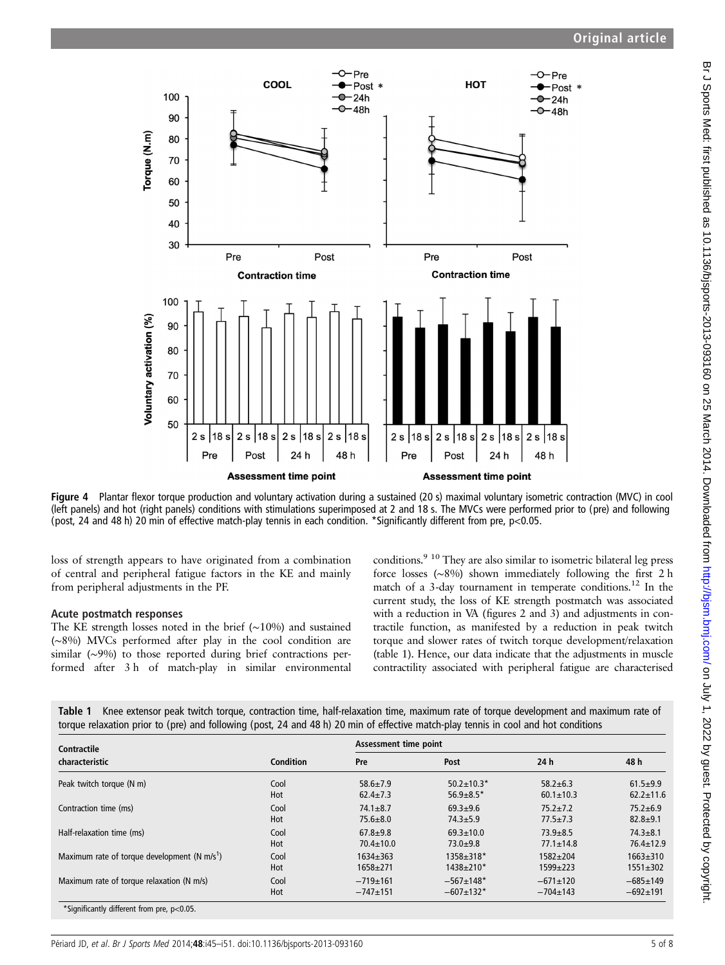

Figure 4 Plantar flexor torque production and voluntary activation during a sustained (20 s) maximal voluntary isometric contraction (MVC) in cool (left panels) and hot (right panels) conditions with stimulations superimposed at 2 and 18 s. The MVCs were performed prior to (pre) and following (post, 24 and 48 h) 20 min of effective match-play tennis in each condition. \*Significantly different from pre, p<0.05.

loss of strength appears to have originated from a combination of central and peripheral fatigue factors in the KE and mainly from peripheral adjustments in the PF.

#### Acute postmatch responses

The KE strength losses noted in the brief (∼10%) and sustained (∼8%) MVCs performed after play in the cool condition are similar (∼9%) to those reported during brief contractions performed after 3 h of match-play in similar environmental

conditions.<sup>9 10</sup> They are also similar to isometric bilateral leg press force losses (∼8%) shown immediately following the first 2 h match of a 3-day tournament in temperate conditions.<sup>12</sup> In the current study, the loss of KE strength postmatch was associated with a reduction in VA (figures 2 and 3) and adjustments in contractile function, as manifested by a reduction in peak twitch torque and slower rates of twitch torque development/relaxation (table 1). Hence, our data indicate that the adjustments in muscle contractility associated with peripheral fatigue are characterised

Table 1 Knee extensor peak twitch torque, contraction time, half-relaxation time, maximum rate of torque development and maximum rate of torque relaxation prior to (pre) and following (post, 24 and 48 h) 20 min of effective match-play tennis in cool and hot conditions

| Contractile                                    |           | Assessment time point |                  |                 |                 |  |
|------------------------------------------------|-----------|-----------------------|------------------|-----------------|-----------------|--|
| characteristic                                 | Condition | Pre                   | Post             | 24h             | 48 h            |  |
| Peak twitch torque (N m)                       | Cool      | $58.6 + 7.9$          | $50.2 \pm 10.3*$ | $58.2 + 6.3$    | $61.5 + 9.9$    |  |
|                                                | Hot       | $62.4 \pm 7.3$        | $56.9 \pm 8.5*$  | $60.1 \pm 10.3$ | $62.2 \pm 11.6$ |  |
| Contraction time (ms)                          | Cool      | $74.1 \pm 8.7$        | $69.3 + 9.6$     | $75.2 + 7.2$    | $75.2 + 6.9$    |  |
|                                                | Hot       | $75.6 \pm 8.0$        | $74.3 + 5.9$     | $77.5 \pm 7.3$  | $82.8 + 9.1$    |  |
| Half-relaxation time (ms)                      | Cool      | $67.8 + 9.8$          | $69.3 \pm 10.0$  | $73.9 + 8.5$    | $74.3 + 8.1$    |  |
|                                                | Hot       | $70.4 \pm 10.0$       | $73.0 + 9.8$     | $77.1 \pm 14.8$ | $76.4 \pm 12.9$ |  |
| Maximum rate of torque development (N $m/s1$ ) | Cool      | $1634 + 363$          | 1358±318*        | $1582 + 204$    | $1663 + 310$    |  |
|                                                | Hot       | $1658 + 271$          | $1438 + 210*$    | $1599 + 223$    | $1551 \pm 302$  |  |
| Maximum rate of torque relaxation (N m/s)      | Cool      | $-719+161$            | $-567+148*$      | $-671 \pm 120$  | $-685+149$      |  |
|                                                | Hot       | $-747+151$            | $-607+132*$      | $-704 \pm 143$  | $-692 \pm 191$  |  |
| *Significantly different from pre, p<0.05.     |           |                       |                  |                 |                 |  |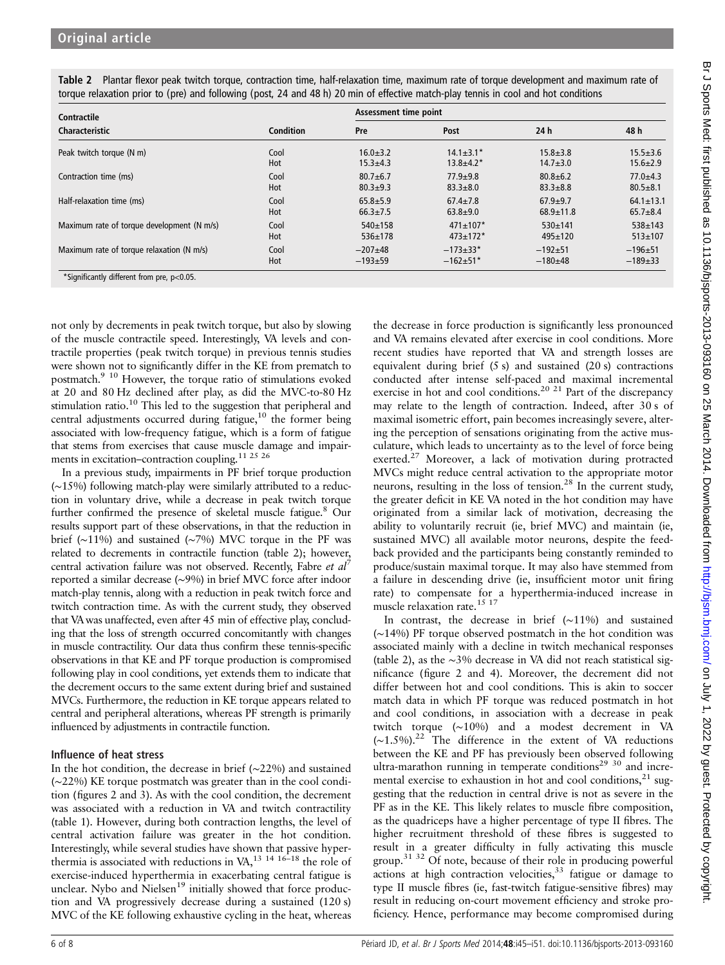| Contractile<br>Characteristic              | Condition | Assessment time point |                  |                 |                 |  |
|--------------------------------------------|-----------|-----------------------|------------------|-----------------|-----------------|--|
|                                            |           | Pre                   | Post             | 24h             | 48 h            |  |
| Peak twitch torque (N m)                   | Cool      | $16.0 + 3.2$          | $14.1 \pm 3.1^*$ | $15.8 + 3.8$    | $15.5 \pm 3.6$  |  |
|                                            | Hot       | $15.3 + 4.3$          | $13.8 + 4.2^*$   | $14.7 \pm 3.0$  | $15.6 + 2.9$    |  |
| Contraction time (ms)                      | Cool      | $80.7 + 6.7$          | $77.9 + 9.8$     | $80.8 + 6.2$    | $77.0 + 4.3$    |  |
|                                            | Hot       | $80.3 + 9.3$          | $83.3 + 8.0$     | $83.3 + 8.8$    | $80.5 + 8.1$    |  |
| Half-relaxation time (ms)                  | Cool      | $65.8 + 5.9$          | $67.4 \pm 7.8$   | $67.9 + 9.7$    | $64.1 \pm 13.1$ |  |
|                                            | Hot       | $66.3 \pm 7.5$        | $63.8 + 9.0$     | $68.9 \pm 11.8$ | $65.7 + 8.4$    |  |
| Maximum rate of torque development (N m/s) | Cool      | $540+158$             | $471 \pm 107$ *  | $530+141$       | $538 + 143$     |  |
|                                            | Hot       | $536+178$             | $473 \pm 172$ *  | $495+120$       | $513 \pm 107$   |  |
| Maximum rate of torque relaxation (N m/s)  | Cool      | $-207+48$             | $-173+33*$       | $-192+51$       | $-196+51$       |  |
|                                            | Hot       | $-193+59$             | $-162+51*$       | $-180+48$       | $-189+33$       |  |

not only by decrements in peak twitch torque, but also by slowing of the muscle contractile speed. Interestingly, VA levels and contractile properties (peak twitch torque) in previous tennis studies were shown not to significantly differ in the KE from prematch to postmatch.9 10 However, the torque ratio of stimulations evoked at 20 and 80 Hz declined after play, as did the MVC-to-80 Hz stimulation ratio.<sup>10</sup> This led to the suggestion that peripheral and central adjustments occurred during fatigue,<sup>10</sup> the former being associated with low-frequency fatigue, which is a form of fatigue that stems from exercises that cause muscle damage and impairments in excitation–contraction coupling.11 25 26

In a previous study, impairments in PF brief torque production (∼15%) following match-play were similarly attributed to a reduction in voluntary drive, while a decrease in peak twitch torque further confirmed the presence of skeletal muscle fatigue.<sup>8</sup> Our results support part of these observations, in that the reduction in brief (∼11%) and sustained (∼7%) MVC torque in the PF was related to decrements in contractile function (table 2); however, central activation failure was not observed. Recently, Fabre et  $al^7$ reported a similar decrease (∼9%) in brief MVC force after indoor match-play tennis, along with a reduction in peak twitch force and twitch contraction time. As with the current study, they observed that VA was unaffected, even after 45 min of effective play, concluding that the loss of strength occurred concomitantly with changes in muscle contractility. Our data thus confirm these tennis-specific observations in that KE and PF torque production is compromised following play in cool conditions, yet extends them to indicate that the decrement occurs to the same extent during brief and sustained MVCs. Furthermore, the reduction in KE torque appears related to central and peripheral alterations, whereas PF strength is primarily influenced by adjustments in contractile function.

## Influence of heat stress

In the hot condition, the decrease in brief (∼22%) and sustained (∼22%) KE torque postmatch was greater than in the cool condition (figures 2 and 3). As with the cool condition, the decrement was associated with a reduction in VA and twitch contractility (table 1). However, during both contraction lengths, the level of central activation failure was greater in the hot condition. Interestingly, while several studies have shown that passive hyperthermia is associated with reductions in VA,<sup>13 14 16–18</sup> the role of exercise-induced hyperthermia in exacerbating central fatigue is unclear. Nybo and Nielsen<sup>19</sup> initially showed that force production and VA progressively decrease during a sustained (120 s) MVC of the KE following exhaustive cycling in the heat, whereas

the decrease in force production is significantly less pronounced and VA remains elevated after exercise in cool conditions. More recent studies have reported that VA and strength losses are equivalent during brief (5 s) and sustained (20 s) contractions conducted after intense self-paced and maximal incremental exercise in hot and cool conditions.<sup>20 21</sup> Part of the discrepancy may relate to the length of contraction. Indeed, after 30 s of maximal isometric effort, pain becomes increasingly severe, altering the perception of sensations originating from the active musculature, which leads to uncertainty as to the level of force being exerted.<sup>27</sup> Moreover, a lack of motivation during protracted MVCs might reduce central activation to the appropriate motor neurons, resulting in the loss of tension.<sup>28</sup> In the current study, the greater deficit in KE VA noted in the hot condition may have originated from a similar lack of motivation, decreasing the ability to voluntarily recruit (ie, brief MVC) and maintain (ie, sustained MVC) all available motor neurons, despite the feedback provided and the participants being constantly reminded to produce/sustain maximal torque. It may also have stemmed from a failure in descending drive (ie, insufficient motor unit firing rate) to compensate for a hyperthermia-induced increase in muscle relaxation rate.<sup>15</sup> <sup>17</sup>

In contrast, the decrease in brief (∼11%) and sustained (∼14%) PF torque observed postmatch in the hot condition was associated mainly with a decline in twitch mechanical responses (table 2), as the ∼3% decrease in VA did not reach statistical significance (figure 2 and 4). Moreover, the decrement did not differ between hot and cool conditions. This is akin to soccer match data in which PF torque was reduced postmatch in hot and cool conditions, in association with a decrease in peak twitch torque (∼10%) and a modest decrement in VA (∼1.5%).<sup>22</sup> The difference in the extent of VA reductions between the KE and PF has previously been observed following ultra-marathon running in temperate conditions<sup>29 30</sup> and incremental exercise to exhaustion in hot and cool conditions, $21$  suggesting that the reduction in central drive is not as severe in the PF as in the KE. This likely relates to muscle fibre composition, as the quadriceps have a higher percentage of type II fibres. The higher recruitment threshold of these fibres is suggested to result in a greater difficulty in fully activating this muscle group.31 32 Of note, because of their role in producing powerful actions at high contraction velocities, $33$  fatigue or damage to type II muscle fibres (ie, fast-twitch fatigue-sensitive fibres) may result in reducing on-court movement efficiency and stroke proficiency. Hence, performance may become compromised during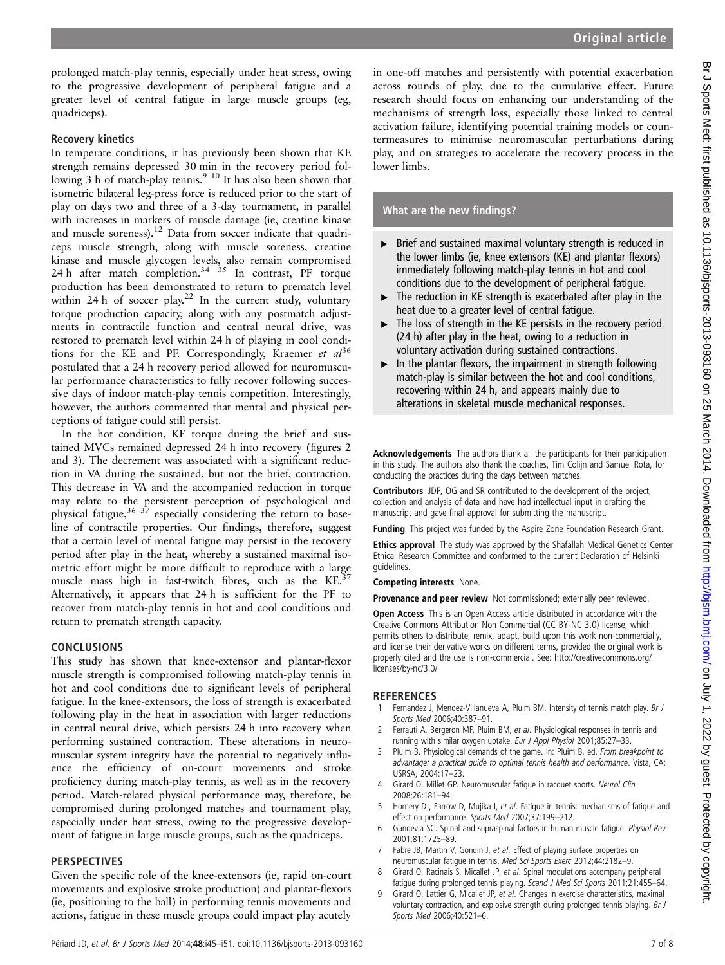prolonged match-play tennis, especially under heat stress, owing to the progressive development of peripheral fatigue and a greater level of central fatigue in large muscle groups (eg, quadriceps).

### Recovery kinetics

In temperate conditions, it has previously been shown that KE strength remains depressed 30 min in the recovery period following 3 h of match-play tennis.<sup>9 10</sup> It has also been shown that isometric bilateral leg-press force is reduced prior to the start of play on days two and three of a 3-day tournament, in parallel with increases in markers of muscle damage (ie, creatine kinase and muscle soreness).<sup>12</sup> Data from soccer indicate that quadriceps muscle strength, along with muscle soreness, creatine kinase and muscle glycogen levels, also remain compromised 24 h after match completion.<sup>34 35</sup> In contrast, PF torque production has been demonstrated to return to prematch level within 24 h of soccer play.<sup>22</sup> In the current study, voluntary torque production capacity, along with any postmatch adjustments in contractile function and central neural drive, was restored to prematch level within 24 h of playing in cool conditions for the KE and PF. Correspondingly, Kraemer et  $al^{36}$ postulated that a 24 h recovery period allowed for neuromuscular performance characteristics to fully recover following successive days of indoor match-play tennis competition. Interestingly, however, the authors commented that mental and physical perceptions of fatigue could still persist.

In the hot condition, KE torque during the brief and sustained MVCs remained depressed 24 h into recovery (figures 2 and 3). The decrement was associated with a significant reduction in VA during the sustained, but not the brief, contraction. This decrease in VA and the accompanied reduction in torque may relate to the persistent perception of psychological and physical fatigue,  $36 \frac{37}{2}$  especially considering the return to baseline of contractile properties. Our findings, therefore, suggest that a certain level of mental fatigue may persist in the recovery period after play in the heat, whereby a sustained maximal isometric effort might be more difficult to reproduce with a large muscle mass high in fast-twitch fibres, such as the KE.<sup>3</sup> Alternatively, it appears that 24 h is sufficient for the PF to recover from match-play tennis in hot and cool conditions and return to prematch strength capacity.

## **CONCLUSIONS**

This study has shown that knee-extensor and plantar-flexor muscle strength is compromised following match-play tennis in hot and cool conditions due to significant levels of peripheral fatigue. In the knee-extensors, the loss of strength is exacerbated following play in the heat in association with larger reductions in central neural drive, which persists 24 h into recovery when performing sustained contraction. These alterations in neuromuscular system integrity have the potential to negatively influence the efficiency of on-court movements and stroke proficiency during match-play tennis, as well as in the recovery period. Match-related physical performance may, therefore, be compromised during prolonged matches and tournament play, especially under heat stress, owing to the progressive development of fatigue in large muscle groups, such as the quadriceps.

## **PERSPECTIVES**

Given the specific role of the knee-extensors (ie, rapid on-court movements and explosive stroke production) and plantar-flexors (ie, positioning to the ball) in performing tennis movements and actions, fatigue in these muscle groups could impact play acutely

in one-off matches and persistently with potential exacerbation across rounds of play, due to the cumulative effect. Future research should focus on enhancing our understanding of the mechanisms of strength loss, especially those linked to central activation failure, identifying potential training models or countermeasures to minimise neuromuscular perturbations during play, and on strategies to accelerate the recovery process in the lower limbs.

## What are the new findings?

- ▸ Brief and sustained maximal voluntary strength is reduced in the lower limbs (ie, knee extensors (KE) and plantar flexors) immediately following match-play tennis in hot and cool conditions due to the development of peripheral fatigue.
- $\triangleright$  The reduction in KE strength is exacerbated after play in the heat due to a greater level of central fatigue.
- ▸ The loss of strength in the KE persists in the recovery period (24 h) after play in the heat, owing to a reduction in voluntary activation during sustained contractions.
- $\blacktriangleright$  In the plantar flexors, the impairment in strength following match-play is similar between the hot and cool conditions, recovering within 24 h, and appears mainly due to alterations in skeletal muscle mechanical responses.

Acknowledgements The authors thank all the participants for their participation in this study. The authors also thank the coaches, Tim Colijn and Samuel Rota, for conducting the practices during the days between matches.

Contributors JDP, OG and SR contributed to the development of the project, collection and analysis of data and have had intellectual input in drafting the manuscript and gave final approval for submitting the manuscript.

Funding This project was funded by the Aspire Zone Foundation Research Grant.

Ethics approval The study was approved by the Shafallah Medical Genetics Center Ethical Research Committee and conformed to the current Declaration of Helsinki guidelines.

#### Competing interests None.

Provenance and peer review Not commissioned; externally peer reviewed.

Open Access This is an Open Access article distributed in accordance with the Creative Commons Attribution Non Commercial (CC BY-NC 3.0) license, which permits others to distribute, remix, adapt, build upon this work non-commercially, and license their derivative works on different terms, provided the original work is properly cited and the use is non-commercial. See: [http://creativecommons.org/](http://creativecommons.org/licenses/by-nc/3.0/) [licenses/by-nc/3.0/](http://creativecommons.org/licenses/by-nc/3.0/)

## **REFERENCES**

- Fernandez J, Mendez-Villanueva A, Pluim BM. Intensity of tennis match play. Br J Sports Med 2006;40:387–91.
- Ferrauti A, Bergeron MF, Pluim BM, et al. Physiological responses in tennis and running with similar oxygen uptake. Eur J Appl Physiol 2001;85:27-33.
- Pluim B. Physiological demands of the game. In: Pluim B, ed. From breakpoint to advantage: a practical guide to optimal tennis health and performance. Vista, CA: USRSA, 2004:17–23.
- 4 Girard O, Millet GP. Neuromuscular fatigue in racquet sports. Neurol Clin 2008;26:181–94.
- Hornery DJ, Farrow D, Mujika I, et al. Fatigue in tennis: mechanisms of fatigue and effect on performance. Sports Med 2007;37:199–212.
- 6 Gandevia SC. Spinal and supraspinal factors in human muscle fatigue. Physiol Rev 2001;81:1725–89.
- 7 Fabre JB, Martin V, Gondin J, et al. Effect of playing surface properties on neuromuscular fatigue in tennis. Med Sci Sports Exerc 2012;44:2182–9.
- 8 Girard O, Racinais S, Micallef JP, et al. Spinal modulations accompany peripheral fatigue during prolonged tennis playing. Scand J Med Sci Sports 2011;21:455-64.
- Girard O, Lattier G, Micallef JP, et al. Changes in exercise characteristics, maximal voluntary contraction, and explosive strength during prolonged tennis playing. Br J Sports Med 2006;40:521–6.